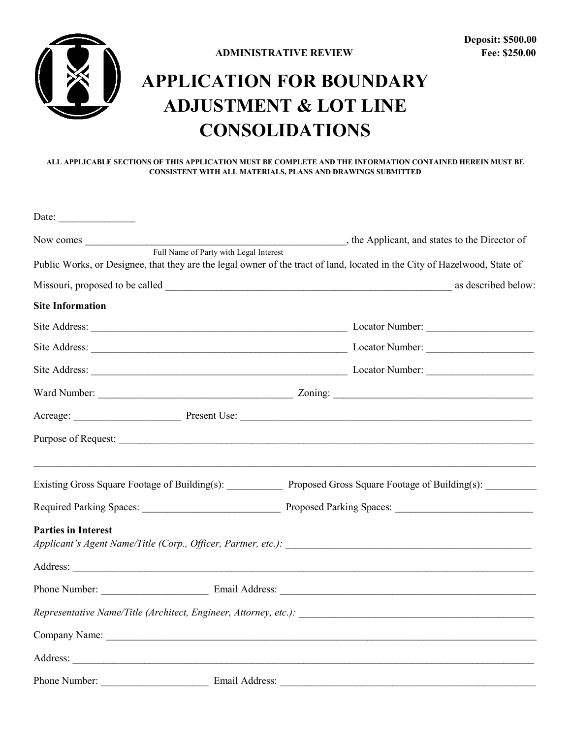

## **APPLICATION FOR BOUNDARY ADJUSTMENT & LOT LINE CONSOLIDATIONS**

## **ALL APPLICABLE SECTIONS OF THIS APPLICATION MUST BE COMPLETE AND THE INFORMATION CONTAINED HEREIN MUST BE CONSISTENT WITH ALL MATERIALS, PLANS AND DRAWINGS SUBMITTED**

| Date:                                  |                                                                                                                           |
|----------------------------------------|---------------------------------------------------------------------------------------------------------------------------|
| Full Name of Party with Legal Interest |                                                                                                                           |
|                                        | Public Works, or Designee, that they are the legal owner of the tract of land, located in the City of Hazelwood, State of |
|                                        |                                                                                                                           |
| <b>Site Information</b>                |                                                                                                                           |
|                                        |                                                                                                                           |
|                                        |                                                                                                                           |
|                                        |                                                                                                                           |
|                                        |                                                                                                                           |
|                                        |                                                                                                                           |
|                                        |                                                                                                                           |
|                                        | Existing Gross Square Footage of Building(s): Proposed Gross Square Footage of Building(s): _______                       |
|                                        |                                                                                                                           |
| <b>Parties in Interest</b>             |                                                                                                                           |
|                                        |                                                                                                                           |
|                                        |                                                                                                                           |
|                                        |                                                                                                                           |
|                                        |                                                                                                                           |
|                                        |                                                                                                                           |
| Phone Number:<br>Email Address:        |                                                                                                                           |